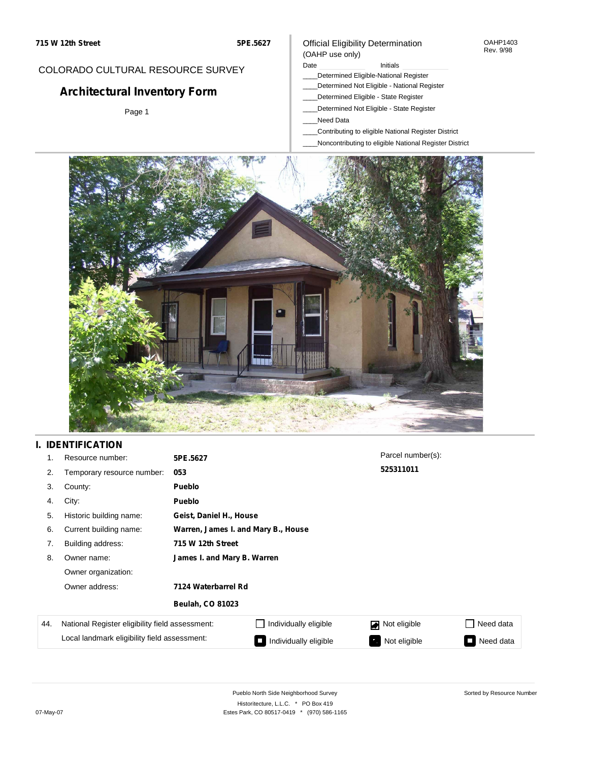### OAHP1403 Rev. 9/98

## COLORADO CULTURAL RESOURCE SURVEY

# **Architectural Inventory Form**

Page 1

### (OAHP use only) Date **Initials** Initials

\_\_\_\_Determined Eligible-National Register

Official Eligibility Determination

- \_\_\_\_Determined Not Eligible National Register
- \_\_\_\_Determined Eligible State Register
- \_\_\_\_Determined Not Eligible State Register
- \_\_\_\_Need Data
- \_\_\_\_Contributing to eligible National Register District
- \_\_\_\_Noncontributing to eligible National Register District



## **I. IDENTIFICATION**

| 1.  | Resource number:                                | 5PE.5627                    |                                     | Parcel number(s): |                                          |  |  |  |
|-----|-------------------------------------------------|-----------------------------|-------------------------------------|-------------------|------------------------------------------|--|--|--|
| 2.  | Temporary resource number:                      | 053                         |                                     | 525311011         |                                          |  |  |  |
| 3.  | County:                                         | Pueblo                      |                                     |                   |                                          |  |  |  |
| 4.  | City:                                           | Pueblo                      |                                     |                   |                                          |  |  |  |
| 5.  | Historic building name:                         |                             | Geist, Daniel H., House             |                   |                                          |  |  |  |
| 6.  | Current building name:                          |                             | Warren, James I. and Mary B., House |                   |                                          |  |  |  |
| 7.  | Building address:                               | 715 W 12th Street           |                                     |                   |                                          |  |  |  |
| 8.  | Owner name:                                     | James I. and Mary B. Warren |                                     |                   |                                          |  |  |  |
|     | Owner organization:                             |                             |                                     |                   |                                          |  |  |  |
|     | Owner address:                                  | 7124 Waterbarrel Rd         |                                     |                   |                                          |  |  |  |
|     |                                                 | <b>Beulah, CO 81023</b>     |                                     |                   |                                          |  |  |  |
| 44. | National Register eligibility field assessment: |                             | $\Box$ Individually eligible        | Not eligible      | Need data                                |  |  |  |
|     | Local landmark eligibility field assessment:    |                             | Individually eligible               | Not eligible      | Need data<br>$\mathcal{L}^{\mathcal{L}}$ |  |  |  |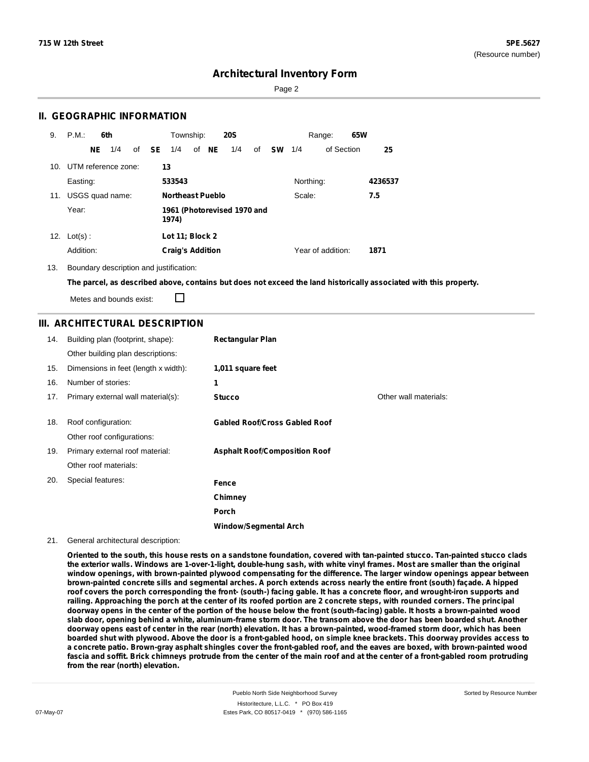Sorted by Resource Number

## **Architectural Inventory Form**

Page 2

## **II. GEOGRAPHIC INFORMATION**

| 9.  | P.M.                    |     | 6th             |              | Township:                            |  |       | <b>20S</b> |    |               | Range:    |                   | 65W |         |
|-----|-------------------------|-----|-----------------|--------------|--------------------------------------|--|-------|------------|----|---------------|-----------|-------------------|-----|---------|
|     |                         | NE. | 1/4             | of <b>SE</b> | 1/4                                  |  | of NE | 1/4        | of | <b>SW</b> 1/4 |           | of Section        |     | 25      |
|     | 10. UTM reference zone: |     |                 |              | 13                                   |  |       |            |    |               |           |                   |     |         |
|     | Easting:                |     |                 |              | 533543                               |  |       |            |    |               | Northing: |                   |     | 4236537 |
| 11. |                         |     | USGS quad name: |              | <b>Northeast Pueblo</b>              |  |       |            |    |               | Scale:    |                   |     | 7.5     |
|     | Year:                   |     |                 |              | 1961 (Photorevised 1970 and<br>1974) |  |       |            |    |               |           |                   |     |         |
| 12. | $Lot(s)$ :              |     |                 |              | Lot 11; Block 2                      |  |       |            |    |               |           |                   |     |         |
|     | Addition:               |     |                 |              | <b>Craig's Addition</b>              |  |       |            |    |               |           | Year of addition: |     | 1871    |

13. Boundary description and justification:

The parcel, as described above, contains but does not exceed the land historically associated with this property.

Metes and bounds exist:

П

## **III. ARCHITECTURAL DESCRIPTION**

| 14. | Building plan (footprint, shape):    | <b>Rectangular Plan</b>              |                       |
|-----|--------------------------------------|--------------------------------------|-----------------------|
|     | Other building plan descriptions:    |                                      |                       |
| 15. | Dimensions in feet (length x width): | 1,011 square feet                    |                       |
| 16. | Number of stories:                   | 1                                    |                       |
| 17. | Primary external wall material(s):   | <b>Stucco</b>                        | Other wall materials: |
|     |                                      |                                      |                       |
| 18. | Roof configuration:                  | <b>Gabled Roof/Cross Gabled Roof</b> |                       |
|     | Other roof configurations:           |                                      |                       |
| 19. | Primary external roof material:      | <b>Asphalt Roof/Composition Roof</b> |                       |
|     | Other roof materials:                |                                      |                       |
| 20. | Special features:                    | Fence                                |                       |
|     |                                      | Chimney                              |                       |
|     |                                      | Porch                                |                       |
|     |                                      | Window/Seamental Arch                |                       |

### 21. General architectural description:

Oriented to the south, this house rests on a sandstone foundation, covered with tan-painted stucco. Tan-painted stucco clads the exterior walls. Windows are 1-over-1-light, double-hung sash, with white vinyl frames. Most are smaller than the original **window openings, with brown-painted plywood compensating for the difference. The larger window openings appear between** brown-painted concrete sills and segmental arches. A porch extends across nearly the entire front (south) façade. A hipped roof covers the porch corresponding the front- (south-) facing gable. It has a concrete floor, and wrought-iron supports and railing. Approaching the porch at the center of its roofed portion are 2 concrete steps, with rounded corners. The principal doorway opens in the center of the portion of the house below the front (south-facing) gable. It hosts a brown-painted wood slab door, opening behind a white, aluminum-frame storm door. The transom above the door has been boarded shut. Another doorway opens east of center in the rear (north) elevation. It has a brown-painted, wood-framed storm door, which has been boarded shut with plywood. Above the door is a front-gabled hood, on simple knee brackets. This doorway provides access to a concrete patio. Brown-gray asphalt shingles cover the front-gabled roof, and the eaves are boxed, with brown-painted wood fascia and soffit. Brick chimneys protrude from the center of the main roof and at the center of a front-gabled room protruding **from the rear (north) elevation.**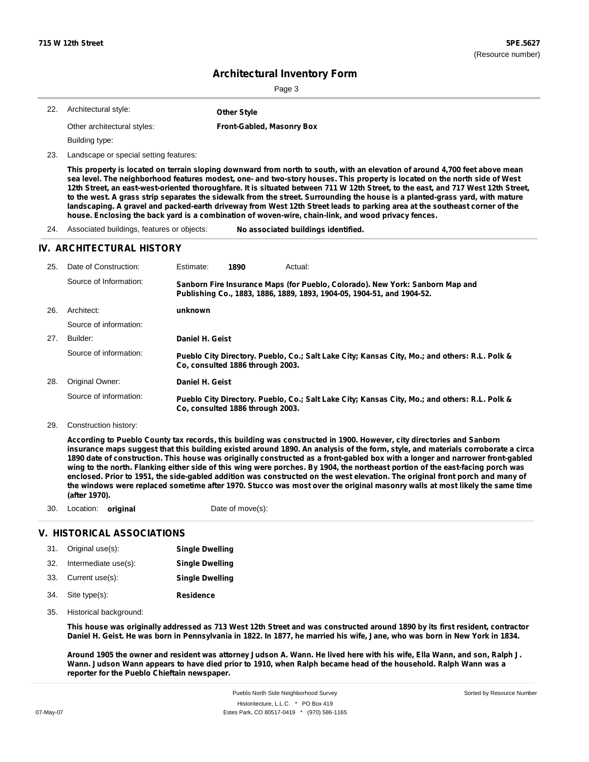Page 3

- Architectural style: 22. **Other Style**
	- Other architectural styles: **Front-Gabled, Masonry Box**

Building type:

23. Landscape or special setting features:

This property is located on terrain sloping downward from north to south, with an elevation of around 4,700 feet above mean sea level. The neighborhood features modest, one- and two-story houses. This property is located on the north side of West 12th Street, an east-west-oriented thoroughfare. It is situated between 711 W 12th Street, to the east, and 717 West 12th Street, to the west. A grass strip separates the sidewalk from the street. Surrounding the house is a planted-grass yard, with mature landscaping. A gravel and packed-earth driveway from West 12th Street leads to parking area at the southeast corner of the **house. Enclosing the back yard is a combination of woven-wire, chain-link, and wood privacy fences.**

24. Associated buildings, features or objects: **No associated buildings identified.**

### **IV. ARCHITECTURAL HISTORY**

| 25. | Date of Construction:  | Estimate:       | 1890                                                                                                                                                    | Actual:                                                                                       |
|-----|------------------------|-----------------|---------------------------------------------------------------------------------------------------------------------------------------------------------|-----------------------------------------------------------------------------------------------|
|     | Source of Information: |                 | Sanborn Fire Insurance Maps (for Pueblo, Colorado). New York: Sanborn Map and<br>Publishing Co., 1883, 1886, 1889, 1893, 1904-05, 1904-51, and 1904-52. |                                                                                               |
| 26. | Architect:             | unknown         |                                                                                                                                                         |                                                                                               |
|     | Source of information: |                 |                                                                                                                                                         |                                                                                               |
| 27. | Builder:               | Daniel H. Geist |                                                                                                                                                         |                                                                                               |
|     | Source of information: |                 | Co. consulted 1886 through 2003.                                                                                                                        | Pueblo City Directory. Pueblo, Co.; Salt Lake City; Kansas City, Mo.; and others: R.L. Polk & |
| 28. | Original Owner:        | Daniel H. Geist |                                                                                                                                                         |                                                                                               |
|     | Source of information: |                 | Co. consulted 1886 through 2003.                                                                                                                        | Pueblo City Directory. Pueblo, Co.; Salt Lake City; Kansas City, Mo.; and others: R.L. Polk & |

29. Construction history:

According to Pueblo County tax records, this building was constructed in 1900. However, city directories and Sanborn insurance maps suggest that this building existed around 1890. An analysis of the form, style, and materials corroborate a circa 1890 date of construction. This house was originally constructed as a front-gabled box with a longer and narrower front-gabled wing to the north. Flanking either side of this wing were porches. By 1904, the northeast portion of the east-facing porch was enclosed. Prior to 1951, the side-gabled addition was constructed on the west elevation. The original front porch and many of the windows were replaced sometime after 1970. Stucco was most over the original masonry walls at most likely the same time **(after 1970).**

30. Location: **original** Date of move(s):

### **V. HISTORICAL ASSOCIATIONS**

| 31. | Original use(s):     | <b>Single Dwelling</b> |
|-----|----------------------|------------------------|
| 32. | Intermediate use(s): | <b>Single Dwelling</b> |
|     | 33. Current use(s):  | <b>Single Dwelling</b> |
|     | 34. Site type(s):    | <b>Residence</b>       |

35. Historical background:

This house was originally addressed as 713 West 12th Street and was constructed around 1890 by its first resident, contractor Daniel H. Geist. He was born in Pennsylvania in 1822. In 1877, he married his wife, Jane, who was born in New York in 1834.

Around 1905 the owner and resident was attorney Judson A. Wann. He lived here with his wife, Ella Wann, and son, Ralph J. Wann. Judson Wann appears to have died prior to 1910, when Ralph became head of the household. Ralph Wann was a **reporter for the Pueblo Chieftain newspaper.**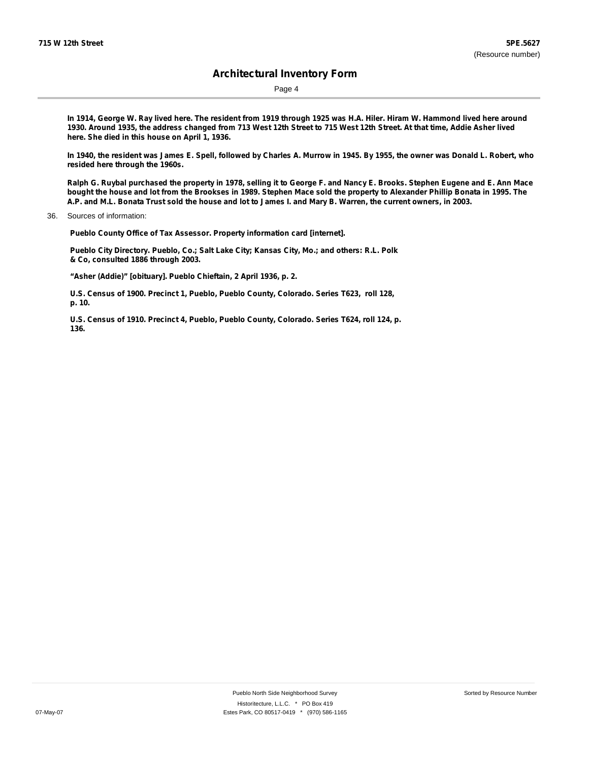Page 4

In 1914, George W. Ray lived here. The resident from 1919 through 1925 was H.A. Hiler. Hiram W. Hammond lived here around 1930. Around 1935, the address changed from 713 West 12th Street to 715 West 12th Street. At that time, Addie Asher lived **here. She died in this house on April 1, 1936.**

In 1940, the resident was James E. Spell, followed by Charles A. Murrow in 1945. By 1955, the owner was Donald L. Robert, who **resided here through the 1960s.**

Ralph G. Ruybal purchased the property in 1978, selling it to George F. and Nancy E. Brooks. Stephen Eugene and E. Ann Mace bought the house and lot from the Brookses in 1989. Stephen Mace sold the property to Alexander Phillip Bonata in 1995. The A.P. and M.L. Bonata Trust sold the house and lot to James I. and Mary B. Warren, the current owners, in 2003.

36. Sources of information:

**Pueblo County Office of Tax Assessor. Property information card [internet].**

**Pueblo City Directory. Pueblo, Co.; Salt Lake City; Kansas City, Mo.; and others: R.L. Polk & Co, consulted 1886 through 2003.**

**"Asher (Addie)" [obituary]. Pueblo Chieftain, 2 April 1936, p. 2.**

**U.S. Census of 1900. Precinct 1, Pueblo, Pueblo County, Colorado. Series T623, roll 128, p. 10.**

**U.S. Census of 1910. Precinct 4, Pueblo, Pueblo County, Colorado. Series T624, roll 124, p. 136.**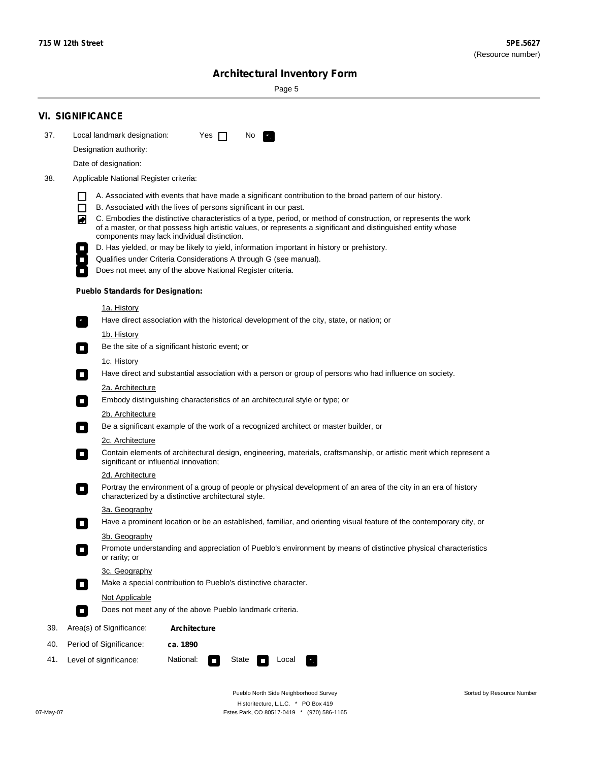÷

Sorted by Resource Number

# **Architectural Inventory Form**

Page 5

|     | <b>VI. SIGNIFICANCE</b>                                                                                                                                                                                                                                                                                                                                                                                                                                                                                                                                                                                                                                                                                                |  |  |  |  |  |  |  |  |
|-----|------------------------------------------------------------------------------------------------------------------------------------------------------------------------------------------------------------------------------------------------------------------------------------------------------------------------------------------------------------------------------------------------------------------------------------------------------------------------------------------------------------------------------------------------------------------------------------------------------------------------------------------------------------------------------------------------------------------------|--|--|--|--|--|--|--|--|
| 37. | Local landmark designation:<br>Yes $\Box$<br>No.                                                                                                                                                                                                                                                                                                                                                                                                                                                                                                                                                                                                                                                                       |  |  |  |  |  |  |  |  |
|     | Designation authority:                                                                                                                                                                                                                                                                                                                                                                                                                                                                                                                                                                                                                                                                                                 |  |  |  |  |  |  |  |  |
|     | Date of designation:                                                                                                                                                                                                                                                                                                                                                                                                                                                                                                                                                                                                                                                                                                   |  |  |  |  |  |  |  |  |
| 38. | Applicable National Register criteria:                                                                                                                                                                                                                                                                                                                                                                                                                                                                                                                                                                                                                                                                                 |  |  |  |  |  |  |  |  |
|     | A. Associated with events that have made a significant contribution to the broad pattern of our history.<br>l.<br>B. Associated with the lives of persons significant in our past.<br>$\Box$<br>C. Embodies the distinctive characteristics of a type, period, or method of construction, or represents the work<br>◙<br>of a master, or that possess high artistic values, or represents a significant and distinguished entity whose<br>components may lack individual distinction.<br>D. Has yielded, or may be likely to yield, information important in history or prehistory.<br>Qualifies under Criteria Considerations A through G (see manual).<br>Does not meet any of the above National Register criteria. |  |  |  |  |  |  |  |  |
|     | <b>Pueblo Standards for Designation:</b>                                                                                                                                                                                                                                                                                                                                                                                                                                                                                                                                                                                                                                                                               |  |  |  |  |  |  |  |  |
|     | 1a. History<br>Have direct association with the historical development of the city, state, or nation; or                                                                                                                                                                                                                                                                                                                                                                                                                                                                                                                                                                                                               |  |  |  |  |  |  |  |  |
|     | <u>1b. History</u><br>Be the site of a significant historic event; or<br>$\mathcal{L}_{\mathcal{A}}$                                                                                                                                                                                                                                                                                                                                                                                                                                                                                                                                                                                                                   |  |  |  |  |  |  |  |  |
|     | 1c. History<br>Have direct and substantial association with a person or group of persons who had influence on society.<br>$\blacksquare$                                                                                                                                                                                                                                                                                                                                                                                                                                                                                                                                                                               |  |  |  |  |  |  |  |  |
|     | 2a. Architecture<br>Embody distinguishing characteristics of an architectural style or type; or<br>$\overline{\phantom{a}}$                                                                                                                                                                                                                                                                                                                                                                                                                                                                                                                                                                                            |  |  |  |  |  |  |  |  |
|     | 2b. Architecture                                                                                                                                                                                                                                                                                                                                                                                                                                                                                                                                                                                                                                                                                                       |  |  |  |  |  |  |  |  |
|     | Be a significant example of the work of a recognized architect or master builder, or<br>$\sim$                                                                                                                                                                                                                                                                                                                                                                                                                                                                                                                                                                                                                         |  |  |  |  |  |  |  |  |
|     | 2c. Architecture<br>Contain elements of architectural design, engineering, materials, craftsmanship, or artistic merit which represent a<br>О<br>significant or influential innovation;                                                                                                                                                                                                                                                                                                                                                                                                                                                                                                                                |  |  |  |  |  |  |  |  |
|     | 2d. Architecture                                                                                                                                                                                                                                                                                                                                                                                                                                                                                                                                                                                                                                                                                                       |  |  |  |  |  |  |  |  |
|     | Portray the environment of a group of people or physical development of an area of the city in an era of history<br>$\Box$<br>characterized by a distinctive architectural style.                                                                                                                                                                                                                                                                                                                                                                                                                                                                                                                                      |  |  |  |  |  |  |  |  |
|     | 3a. Geography                                                                                                                                                                                                                                                                                                                                                                                                                                                                                                                                                                                                                                                                                                          |  |  |  |  |  |  |  |  |
|     | Have a prominent location or be an established, familiar, and orienting visual feature of the contemporary city, or                                                                                                                                                                                                                                                                                                                                                                                                                                                                                                                                                                                                    |  |  |  |  |  |  |  |  |
|     | 3b. Geography<br>Promote understanding and appreciation of Pueblo's environment by means of distinctive physical characteristics<br>or rarity; or                                                                                                                                                                                                                                                                                                                                                                                                                                                                                                                                                                      |  |  |  |  |  |  |  |  |
|     | 3c. Geography<br>Make a special contribution to Pueblo's distinctive character.<br>$\sim$                                                                                                                                                                                                                                                                                                                                                                                                                                                                                                                                                                                                                              |  |  |  |  |  |  |  |  |
|     | Not Applicable                                                                                                                                                                                                                                                                                                                                                                                                                                                                                                                                                                                                                                                                                                         |  |  |  |  |  |  |  |  |
|     | Does not meet any of the above Pueblo landmark criteria.<br>$\overline{\phantom{a}}$                                                                                                                                                                                                                                                                                                                                                                                                                                                                                                                                                                                                                                   |  |  |  |  |  |  |  |  |
| 39. | Area(s) of Significance:<br><b>Architecture</b>                                                                                                                                                                                                                                                                                                                                                                                                                                                                                                                                                                                                                                                                        |  |  |  |  |  |  |  |  |
| 40. | Period of Significance:<br>ca. 1890                                                                                                                                                                                                                                                                                                                                                                                                                                                                                                                                                                                                                                                                                    |  |  |  |  |  |  |  |  |
| 41. | National:<br>Level of significance:<br>State<br>Local<br>П<br>м.                                                                                                                                                                                                                                                                                                                                                                                                                                                                                                                                                                                                                                                       |  |  |  |  |  |  |  |  |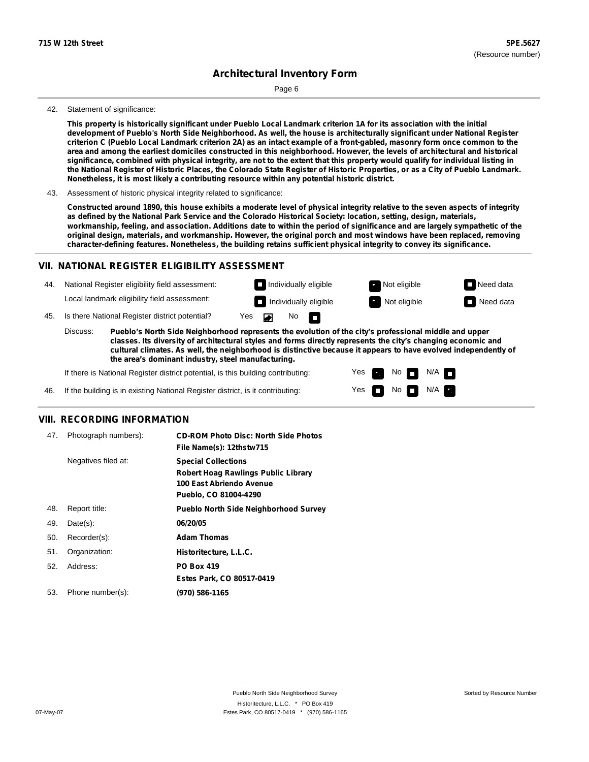Page 6

### 42. Statement of significance:

This property is historically significant under Pueblo Local Landmark criterion 1A for its association with the initial development of Pueblo's North Side Neighborhood. As well, the house is architecturally significant under National Register criterion C (Pueblo Local Landmark criterion 2A) as an intact example of a front-gabled, masonry form once common to the area and among the earliest domiciles constructed in this neighborhood. However, the levels of architectural and historical significance, combined with physical integrity, are not to the extent that this property would qualify for individual listing in the National Register of Historic Places, the Colorado State Register of Historic Properties, or as a City of Pueblo Landmark. **Nonetheless, it is most likely a contributing resource within any potential historic district.**

43. Assessment of historic physical integrity related to significance:

Constructed around 1890, this house exhibits a moderate level of physical integrity relative to the seven aspects of integrity as defined by the National Park Service and the Colorado Historical Society: location, setting, design, materials, workmanship, feeling, and association. Additions date to within the period of significance and are largely sympathetic of the original design, materials, and workmanship. However, the original porch and most windows have been replaced, removing **character-defining features. Nonetheless, the building retains sufficient physical integrity to convey its significance.**

### **VII. NATIONAL REGISTER ELIGIBILITY ASSESSMENT**

44. National Register eligibility field assessment: Local landmark eligibility field assessment:

45. Is there National Register district potential? Yes

**Pueblo's North Side Neighborhood represents the evolution of the city's professional middle and upper classes. Its diversity of architectural styles and forms directly represents the city's changing economic and cultural climates. As well, the neighborhood is distinctive because it appears to have evolved independently of the area's dominant industry, steel manufacturing.** Discuss:

 $\blacksquare$ 

 $No$ 

Yes Yes No

**Individually eligible Not eligible** Not eligible **Need data Individually eligible Not eligible Not eligible Need data** 

 $No$   $N/A$ 

 $N/A$   $\Box$ 

If there is National Register district potential, is this building contributing:



### **VIII. RECORDING INFORMATION**

| 47. | Photograph numbers): | <b>CD-ROM Photo Disc: North Side Photos</b><br>File Name(s): 12thstw715                                                       |
|-----|----------------------|-------------------------------------------------------------------------------------------------------------------------------|
|     | Negatives filed at:  | <b>Special Collections</b><br><b>Robert Hoag Rawlings Public Library</b><br>100 East Abriendo Avenue<br>Pueblo, CO 81004-4290 |
| 48. | Report title:        | <b>Pueblo North Side Neighborhood Survey</b>                                                                                  |
| 49. | $Date(s)$ :          | 06/20/05                                                                                                                      |
| 50. | Recorder(s):         | <b>Adam Thomas</b>                                                                                                            |
| 51. | Organization:        | Historitecture, L.L.C.                                                                                                        |
| 52. | Address:             | <b>PO Box 419</b>                                                                                                             |
|     |                      | Estes Park, CO 80517-0419                                                                                                     |
| 53. | Phone number(s):     | (970) 586-1165                                                                                                                |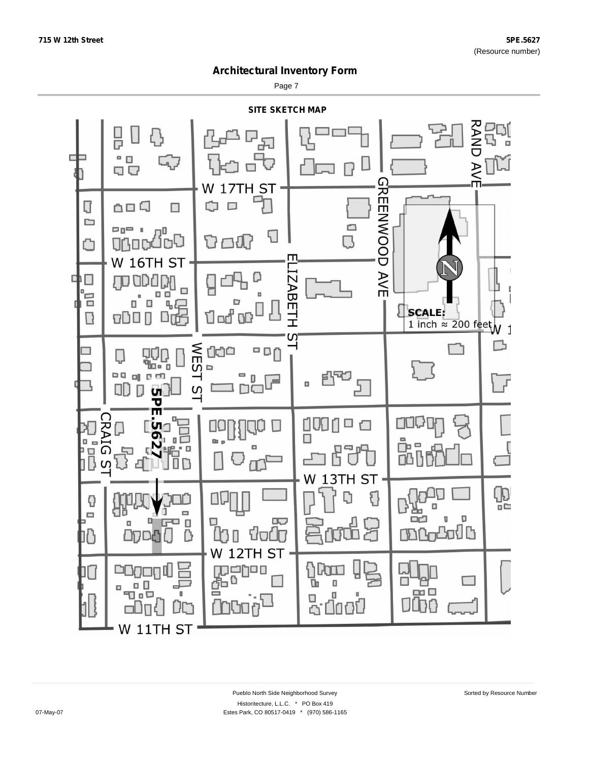Page 7